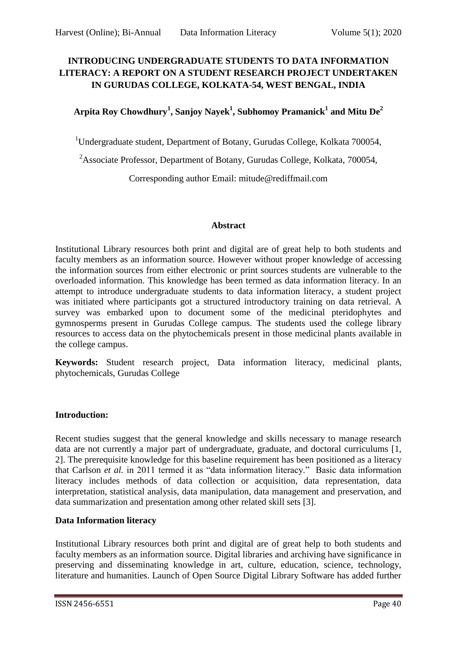# **INTRODUCING UNDERGRADUATE STUDENTS TO DATA INFORMATION LITERACY: A REPORT ON A STUDENT RESEARCH PROJECT UNDERTAKEN IN GURUDAS COLLEGE, KOLKATA-54, WEST BENGAL, INDIA**

# **Arpita Roy Chowdhury<sup>1</sup> , Sanjoy Nayek<sup>1</sup> , Subhomoy Pramanick<sup>1</sup> and Mitu De<sup>2</sup>**

<sup>1</sup>Undergraduate student, Department of Botany, Gurudas College, Kolkata 700054,

<sup>2</sup>Associate Professor, Department of Botany, Gurudas College, Kolkata, 700054,

Corresponding author Email: mitude@rediffmail.com

#### **Abstract**

Institutional Library resources both print and digital are of great help to both students and faculty members as an information source. However without proper knowledge of accessing the information sources from either electronic or print sources students are vulnerable to the overloaded information. This knowledge has been termed as data information literacy. In an attempt to introduce undergraduate students to data information literacy, a student project was initiated where participants got a structured introductory training on data retrieval. A survey was embarked upon to document some of the medicinal pteridophytes and gymnosperms present in Gurudas College campus. The students used the college library resources to access data on the phytochemicals present in those medicinal plants available in the college campus.

**Keywords:** Student research project, Data information literacy, medicinal plants, phytochemicals, Gurudas College

# **Introduction:**

Recent studies suggest that the general knowledge and skills necessary to manage research data are not currently a major part of undergraduate, graduate, and doctoral curriculums [1, 2]. The prerequisite knowledge for this baseline requirement has been positioned as a literacy that Carlson *et al.* in 2011 termed it as "data information literacy." Basic data information literacy includes methods of data collection or acquisition, data representation, data interpretation, statistical analysis, data manipulation, data management and preservation, and data summarization and presentation among other related skill sets [3].

# **Data Information literacy**

Institutional Library resources both print and digital are of great help to both students and faculty members as an information source. Digital libraries and archiving have significance in preserving and disseminating knowledge in art, culture, education, science, technology, literature and humanities. Launch of Open Source Digital Library Software has added further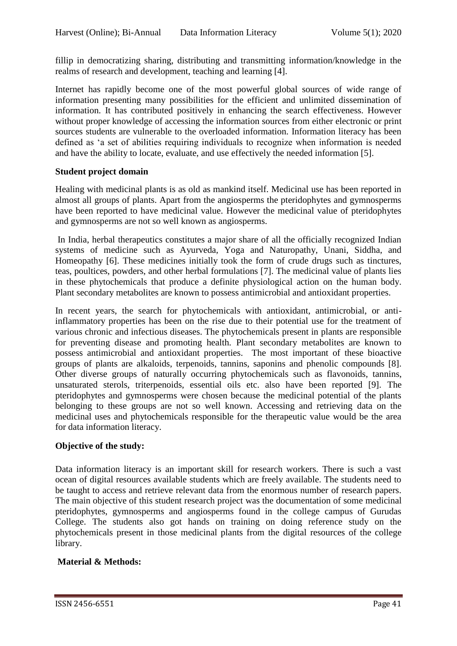fillip in democratizing sharing, distributing and transmitting information/knowledge in the realms of research and development, teaching and learning [4].

Internet has rapidly become one of the most powerful global sources of wide range of information presenting many possibilities for the efficient and unlimited dissemination of information. It has contributed positively in enhancing the search effectiveness. However without proper knowledge of accessing the information sources from either electronic or print sources students are vulnerable to the overloaded information. Information literacy has been defined as 'a set of abilities requiring individuals to recognize when information is needed and have the ability to locate, evaluate, and use effectively the needed information [5].

#### **Student project domain**

Healing with medicinal plants is as old as mankind itself. Medicinal use has been reported in almost all groups of plants. Apart from the angiosperms the pteridophytes and gymnosperms have been reported to have medicinal value. However the medicinal value of pteridophytes and gymnosperms are not so well known as angiosperms.

In India, herbal therapeutics constitutes a major share of all the officially recognized Indian systems of medicine such as Ayurveda, Yoga and Naturopathy, Unani, Siddha, and Homeopathy [6]. These medicines initially took the form of crude drugs such as tinctures, teas, poultices, powders, and other herbal formulations [7]. The medicinal value of plants lies in these phytochemicals that produce a definite physiological action on the human body. Plant secondary metabolites are known to possess antimicrobial and antioxidant properties.

In recent years, the search for phytochemicals with antioxidant, antimicrobial, or antiinflammatory properties has been on the rise due to their potential use for the treatment of various chronic and infectious diseases. The phytochemicals present in plants are responsible for preventing disease and promoting health. Plant secondary metabolites are known to possess antimicrobial and antioxidant properties. The most important of these bioactive groups of plants are alkaloids, terpenoids, tannins, saponins and phenolic compounds [8]. Other diverse groups of naturally occurring phytochemicals such as flavonoids, tannins, unsaturated sterols, triterpenoids, essential oils etc. also have been reported [9]. The pteridophytes and gymnosperms were chosen because the medicinal potential of the plants belonging to these groups are not so well known. Accessing and retrieving data on the medicinal uses and phytochemicals responsible for the therapeutic value would be the area for data information literacy.

# **Objective of the study:**

Data information literacy is an important skill for research workers. There is such a vast ocean of digital resources available students which are freely available. The students need to be taught to access and retrieve relevant data from the enormous number of research papers. The main objective of this student research project was the documentation of some medicinal pteridophytes, gymnosperms and angiosperms found in the college campus of Gurudas College. The students also got hands on training on doing reference study on the phytochemicals present in those medicinal plants from the digital resources of the college library.

# **Material & Methods:**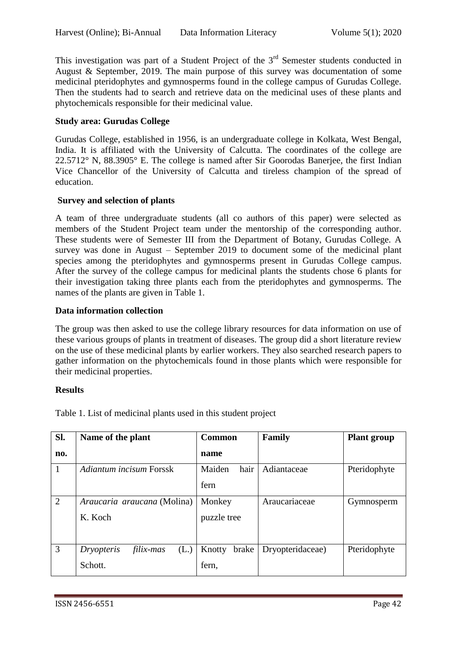This investigation was part of a Student Project of the  $3<sup>rd</sup>$  Semester students conducted in August & September, 2019. The main purpose of this survey was documentation of some medicinal pteridophytes and gymnosperms found in the college campus of Gurudas College. Then the students had to search and retrieve data on the medicinal uses of these plants and phytochemicals responsible for their medicinal value.

### **Study area: Gurudas College**

Gurudas College, established in 1956, is an undergraduate college in Kolkata, West Bengal, India. It is affiliated with the University of Calcutta. The coordinates of the college are 22.5712° N, 88.3905° E. The college is named after Sir Goorodas Banerjee, the first Indian Vice Chancellor of the University of Calcutta and tireless champion of the spread of education.

#### **Survey and selection of plants**

A team of three undergraduate students (all co authors of this paper) were selected as members of the Student Project team under the mentorship of the corresponding author. These students were of Semester III from the Department of Botany, Gurudas College. A survey was done in August – September 2019 to document some of the medicinal plant species among the pteridophytes and gymnosperms present in Gurudas College campus. After the survey of the college campus for medicinal plants the students chose 6 plants for their investigation taking three plants each from the pteridophytes and gymnosperms. The names of the plants are given in Table 1.

#### **Data information collection**

The group was then asked to use the college library resources for data information on use of these various groups of plants in treatment of diseases. The group did a short literature review on the use of these medicinal plants by earlier workers. They also searched research papers to gather information on the phytochemicals found in those plants which were responsible for their medicinal properties.

#### **Results**

| SI.            | Name of the plant               | <b>Common</b>   | Family           | <b>Plant group</b> |
|----------------|---------------------------------|-----------------|------------------|--------------------|
| no.            |                                 | name            |                  |                    |
| $\overline{1}$ | Adiantum incisum Forssk         | hair<br>Maiden  | Adiantaceae      | Pteridophyte       |
|                |                                 | fern            |                  |                    |
| 2              | Araucaria araucana (Molina)     | Monkey          | Araucariaceae    | Gymnosperm         |
|                | K. Koch                         | puzzle tree     |                  |                    |
|                |                                 |                 |                  |                    |
| 3              | (L.)<br>Dryopteris<br>filix-mas | brake<br>Knotty | Dryopteridaceae) | Pteridophyte       |
|                | Schott.                         | fern,           |                  |                    |

Table 1. List of medicinal plants used in this student project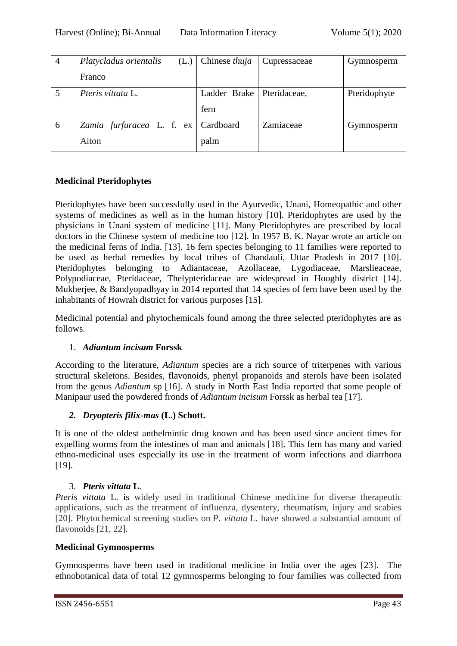| $\overline{4}$ | Platycladus orientalis<br>(L.)      | Chinese <i>thuja</i>        | Cupressaceae | Gymnosperm   |
|----------------|-------------------------------------|-----------------------------|--------------|--------------|
|                | Franco                              |                             |              |              |
|                | <i>Pteris vittata L.</i>            | Ladder Brake   Pteridaceae, |              | Pteridophyte |
|                |                                     | fern                        |              |              |
| 6              | Zamia furfuracea L. f. ex Cardboard |                             | Zamiaceae    | Gymnosperm   |
|                | Aiton                               | palm                        |              |              |

# **Medicinal Pteridophytes**

Pteridophytes have been successfully used in the Ayurvedic, Unani, Homeopathic and other systems of medicines as well as in the human history [10]. Pteridophytes are used by the physicians in Unani system of medicine [11]. Many Pteridophytes are prescribed by local doctors in the Chinese system of medicine too [12]. In 1957 B. K. Nayar wrote an article on the medicinal ferns of India. [13]. 16 fern species belonging to 11 families were reported to be used as herbal remedies by local tribes of Chandauli, Uttar Pradesh in 2017 [10]. Pteridophytes belonging to Adiantaceae, Azollaceae, Lygodiaceae, Marslieaceae, Polypodiaceae, Pteridaceae, Thelypteridaceae are widespread in Hooghly district [14]. Mukherjee, & Bandyopadhyay in 2014 reported that 14 species of fern have been used by the inhabitants of Howrah district for various purposes [15].

Medicinal potential and phytochemicals found among the three selected pteridophytes are as follows.

# 1. *Adiantum incisum* **Forssk**

According to the literature, *Adiantum* species are a rich source of triterpenes with various structural skeletons. Besides, flavonoids, phenyl propanoids and sterols have been isolated from the genus *Adiantum* sp [16]. A study in North East India reported that some people of Manipaur used the powdered fronds of *Adiantum incisum* Forssk as herbal tea [17].

# *2. Dryopteris filix-mas* **(L.) Schott.**

It is one of the oldest anthelmintic drug known and has been used since ancient times for expelling worms from the intestines of man and animals [18]. This fern has many and varied ethno-medicinal uses especially its use in the treatment of worm infections and diarrhoea [19].

# 3. *Pteris vittata* **L**.

*Pteris vittata* L. is widely used in traditional Chinese medicine for diverse therapeutic applications, such as the treatment of influenza, dysentery, rheumatism, injury and scabies [20]. Phytochemical screening studies on *P. vittata* L. have showed a substantial amount of flavonoids [21, 22].

# **Medicinal Gymnosperms**

Gymnosperms have been used in traditional medicine in India over the ages [23]. The ethnobotanical data of total 12 gymnosperms belonging to four families was collected from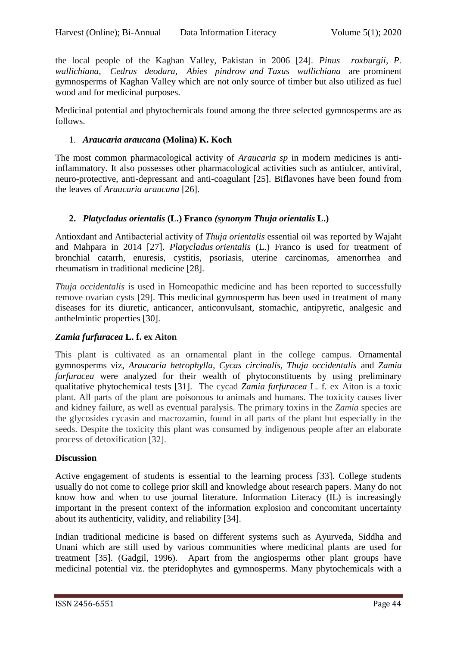the local people of the Kaghan Valley, Pakistan in 2006 [24]. *Pinus roxburgii, P. wallichiana, Cedrus deodara, Abies pindrow and Taxus wallichiana* are prominent gymnosperms of Kaghan Valley which are not only source of timber but also utilized as fuel wood and for medicinal purposes.

Medicinal potential and phytochemicals found among the three selected gymnosperms are as follows.

### 1. *Araucaria araucana* **(Molina) K. Koch**

The most common pharmacological activity of *Araucaria sp* in modern medicines is antiinflammatory. It also possesses other pharmacological activities such as antiulcer, antiviral, neuro-protective, anti-depressant and anti-coagulant [25]. Biflavones have been found from the leaves of *Araucaria araucana* [26].

#### **2.** *Platycladus orientalis* **(L.) Franco** *(synonym Thuja orientalis* **L.)**

Antioxdant and Antibacterial activity of *Thuja orientalis* essential oil was reported by Wajaht and Mahpara in 2014 [27]. *Platycladus orientalis* (L.) Franco is used for treatment of bronchial catarrh, enuresis, cystitis, psoriasis, uterine carcinomas, amenorrhea and rheumatism in traditional medicine [28].

*Thuja occidentalis* is used in Homeopathic medicine and has been reported to successfully remove ovarian cysts [29]. This medicinal gymnosperm has been used in treatment of many diseases for its diuretic, anticancer, anticonvulsant, stomachic, antipyretic, analgesic and anthelmintic properties [30].

# *Zamia furfuracea* **L. f. ex Aiton**

This plant is cultivated as an ornamental plant in the college campus. Ornamental gymnosperms viz, *Araucaria hetrophylla, Cycas circinalis, Thuja occidentalis* and *Zamia furfuracea* were analyzed for their wealth of phytoconstituents by using preliminary qualitative phytochemical tests [31]. The cycad *Zamia furfuracea* L. f. ex Aiton is a toxic plant. All parts of the plant are poisonous to animals and humans. The toxicity causes liver and kidney failure, as well as eventual paralysis. The primary toxins in the *Zamia* species are the glycosides cycasin and macrozamin, found in all parts of the plant but especially in the seeds. Despite the toxicity this plant was consumed by indigenous people after an elaborate process of detoxification [32].

#### **Discussion**

Active engagement of students is essential to the learning process [33]. College students usually do not come to college prior skill and knowledge about research papers. Many do not know how and when to use journal literature. Information Literacy (IL) is increasingly important in the present context of the information explosion and concomitant uncertainty about its authenticity, validity, and reliability [34].

Indian traditional medicine is based on different systems such as Ayurveda, Siddha and Unani which are still used by various communities where medicinal plants are used for treatment [35]. (Gadgil, 1996). Apart from the angiosperms other plant groups have medicinal potential viz. the pteridophytes and gymnosperms. Many phytochemicals with a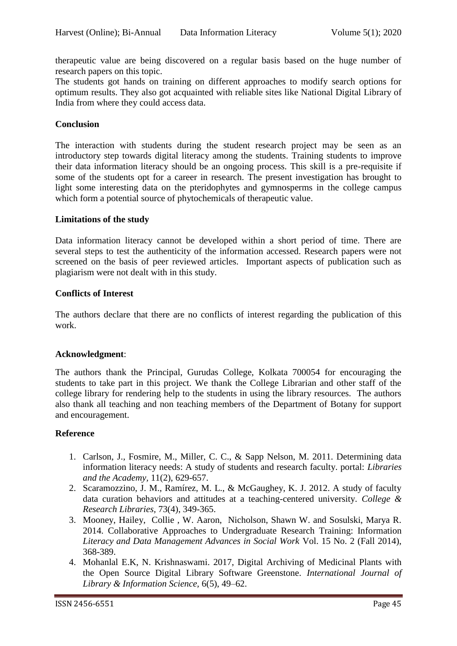therapeutic value are being discovered on a regular basis based on the huge number of research papers on this topic.

The students got hands on training on different approaches to modify search options for optimum results. They also got acquainted with reliable sites like National Digital Library of India from where they could access data.

#### **Conclusion**

The interaction with students during the student research project may be seen as an introductory step towards digital literacy among the students. Training students to improve their data information literacy should be an ongoing process. This skill is a pre-requisite if some of the students opt for a career in research. The present investigation has brought to light some interesting data on the pteridophytes and gymnosperms in the college campus which form a potential source of phytochemicals of therapeutic value.

#### **Limitations of the study**

Data information literacy cannot be developed within a short period of time. There are several steps to test the authenticity of the information accessed. Research papers were not screened on the basis of peer reviewed articles. Important aspects of publication such as plagiarism were not dealt with in this study.

#### **Conflicts of Interest**

The authors declare that there are no conflicts of interest regarding the publication of this work.

# **Acknowledgment**:

The authors thank the Principal, Gurudas College, Kolkata 700054 for encouraging the students to take part in this project. We thank the College Librarian and other staff of the college library for rendering help to the students in using the library resources. The authors also thank all teaching and non teaching members of the Department of Botany for support and encouragement.

#### **Reference**

- 1. Carlson, J., Fosmire, M., Miller, C. C., & Sapp Nelson, M. 2011. Determining data information literacy needs: A study of students and research faculty. portal: *Libraries and the Academy,* 11(2), 629-657.
- 2. Scaramozzino, J. M., Ramírez, M. L., & McGaughey, K. J. 2012. A study of faculty data curation behaviors and attitudes at a teaching-centered university. *College & Research Libraries,* 73(4), 349-365.
- 3. Mooney, Hailey, Collie , W. Aaron, Nicholson, Shawn W. and Sosulski, Marya R*.*  2014. Collaborative Approaches to Undergraduate Research Training: Information *Literacy and Data Management Advances in Social Work* Vol. 15 No. 2 (Fall 2014), 368-389.
- 4. Mohanlal E.K, N. Krishnaswami. 2017, Digital Archiving of Medicinal Plants with the Open Source Digital Library Software Greenstone. *International Journal of Library & Information Science,* 6(5), 49–62.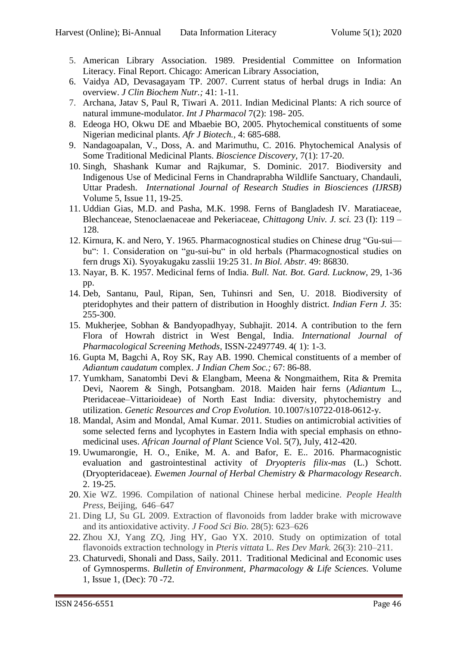- 5. American Library Association. 1989. Presidential Committee on Information Literacy. Final Report. Chicago: American Library Association,
- 6. Vaidya AD, Devasagayam TP. 2007. Current status of herbal drugs in India: An overview. *J Clin Biochem Nutr.;* 41: 1-11.
- 7. Archana, Jatav S, Paul R, Tiwari A. 2011. Indian Medicinal Plants: A rich source of natural immune-modulator. *Int J Pharmacol* 7(2): 198- 205.
- 8. Edeoga HO, Okwu DE and Mbaebie BO, 2005. Phytochemical constituents of some Nigerian medicinal plants. *Afr J Biotech.,* 4: 685-688.
- 9. Nandagoapalan, V., Doss, A. and Marimuthu, C. 2016. Phytochemical Analysis of Some Traditional Medicinal Plants. *Bioscience Discovery,* 7(1): 17-20.
- 10. Singh, Shashank Kumar and Rajkumar, S. Dominic. 2017. Biodiversity and Indigenous Use of Medicinal Ferns in Chandraprabha Wildlife Sanctuary, Chandauli, Uttar Pradesh. *International Journal of Research Studies in Biosciences (IJRSB)* Volume 5, Issue 11, 19-25.
- 11. Uddian Gias, M.D. and Pasha, M.K. 1998. Ferns of Bangladesh IV. Maratiaceae, Blechanceae, Stenoclaenaceae and Pekeriaceae, *Chittagong Univ. J. sci.* 23 (I): 119 – 128.
- 12. Kirnura, K. and Nero, Y. 1965. Pharmacognostical studies on Chinese drug "Gu-sui bu": 1. Consideration on "gu-sui-bu" in old herbals (Pharmacognostical studies on fern drugs Xi). Syoyakugaku zasslii 19:25 31. *In Biol. Abstr.* 49: 86830.
- 13. Nayar, B. K. 1957. Medicinal ferns of India. *Bull. Nat. Bot. Gard. Lucknow,* 29, 1-36 pp.
- 14. Deb, Santanu, Paul, Ripan, Sen, Tuhinsri and Sen, U. 2018. Biodiversity of pteridophytes and their pattern of distribution in Hooghly district. *Indian Fern J.* 35: 255-300.
- 15. Mukherjee, Sobhan & Bandyopadhyay, Subhajit. 2014. A contribution to the fern Flora of Howrah district in West Bengal, India. *International Journal of Pharmacological Screening Methods,* ISSN-22497749. 4( 1): 1-3.
- 16. Gupta M, Bagchi A, Roy SK, Ray AB. 1990. Chemical constituents of a member of *Adiantum caudatum* complex. *J Indian Chem Soc.;* 67: 86-88.
- 17. Yumkham, Sanatombi Devi & Elangbam, Meena & Nongmaithem, Rita & Premita Devi, Naorem & Singh, Potsangbam. 2018. Maiden hair ferns (*Adiantum* L., Pteridaceae–Vittarioideae) of North East India: diversity, phytochemistry and utilization. *Genetic Resources and Crop Evolution.* 10.1007/s10722-018-0612-y.
- 18. Mandal, Asim and Mondal, Amal Kumar. 2011. Studies on antimicrobial activities of some selected ferns and lycophytes in Eastern India with special emphasis on ethnomedicinal uses. *African Journal of Plant* Science Vol. 5(7), July, 412-420.
- 19. Uwumarongie, H. O., Enike, M. A. and Bafor, E. E.. 2016. Pharmacognistic evaluation and gastrointestinal activity of *Dryopteris filix-mas* (L.) Schott. (Dryopteridaceae). *Ewemen Journal of Herbal Chemistry & Pharmacology Research*. 2. 19-25.
- 20. Xie WZ. 1996. Compilation of national Chinese herbal medicine. *People Health Press,* Beijing, 646–647
- 21. Ding LJ, Su GL 2009. Extraction of flavonoids from ladder brake with microwave and its antioxidative activity. *J Food Sci Bio.* 28(5): 623–626
- 22. Zhou XJ, Yang ZQ, Jing HY, Gao YX. 2010. Study on optimization of total flavonoids extraction technology in *Pteris vittata* L. *Res Dev Mark.* 26(3): 210–211.
- 23. Chaturvedi, Shonali and Dass, Saily. 2011. Traditional Medicinal and Economic uses of Gymnosperms. *Bulletin of Environment, Pharmacology & Life Sciences.* Volume 1, Issue 1, (Dec): 70 -72.